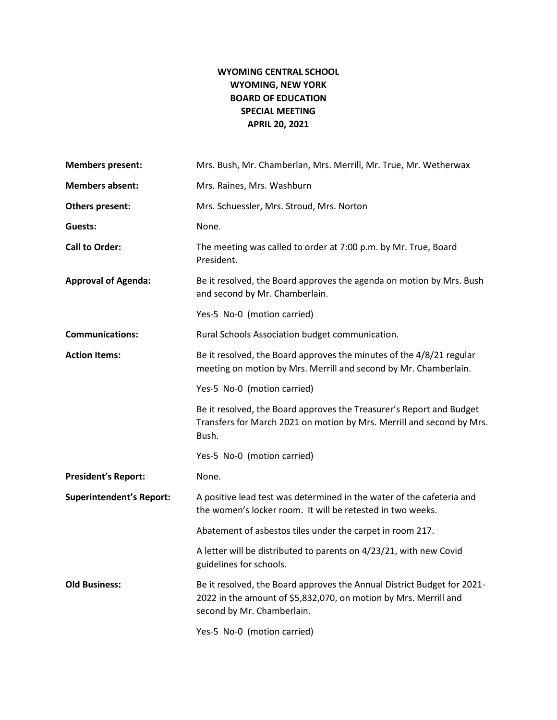# **WYOMING CENTRAL SCHOOL WYOMING, NEW YORK BOARD OF EDUCATION SPECIAL MEETING APRIL 20, 2021**

| <b>Members present:</b>         | Mrs. Bush, Mr. Chamberlan, Mrs. Merrill, Mr. True, Mr. Wetherwax                                                                                                          |
|---------------------------------|---------------------------------------------------------------------------------------------------------------------------------------------------------------------------|
| <b>Members absent:</b>          | Mrs. Raines, Mrs. Washburn                                                                                                                                                |
| Others present:                 | Mrs. Schuessler, Mrs. Stroud, Mrs. Norton                                                                                                                                 |
| Guests:                         | None.                                                                                                                                                                     |
| <b>Call to Order:</b>           | The meeting was called to order at 7:00 p.m. by Mr. True, Board<br>President.                                                                                             |
| <b>Approval of Agenda:</b>      | Be it resolved, the Board approves the agenda on motion by Mrs. Bush<br>and second by Mr. Chamberlain.                                                                    |
|                                 | Yes-5 No-0 (motion carried)                                                                                                                                               |
| <b>Communications:</b>          | Rural Schools Association budget communication.                                                                                                                           |
| <b>Action Items:</b>            | Be it resolved, the Board approves the minutes of the 4/8/21 regular<br>meeting on motion by Mrs. Merrill and second by Mr. Chamberlain.                                  |
|                                 | Yes-5 No-0 (motion carried)                                                                                                                                               |
|                                 | Be it resolved, the Board approves the Treasurer's Report and Budget<br>Transfers for March 2021 on motion by Mrs. Merrill and second by Mrs.<br>Bush.                    |
|                                 | Yes-5 No-0 (motion carried)                                                                                                                                               |
| <b>President's Report:</b>      | None.                                                                                                                                                                     |
| <b>Superintendent's Report:</b> | A positive lead test was determined in the water of the cafeteria and<br>the women's locker room. It will be retested in two weeks.                                       |
|                                 | Abatement of asbestos tiles under the carpet in room 217.                                                                                                                 |
|                                 | A letter will be distributed to parents on 4/23/21, with new Covid<br>guidelines for schools.                                                                             |
| <b>Old Business:</b>            | Be it resolved, the Board approves the Annual District Budget for 2021-<br>2022 in the amount of \$5,832,070, on motion by Mrs. Merrill and<br>second by Mr. Chamberlain. |
|                                 | Yes-5 No-0 (motion carried)                                                                                                                                               |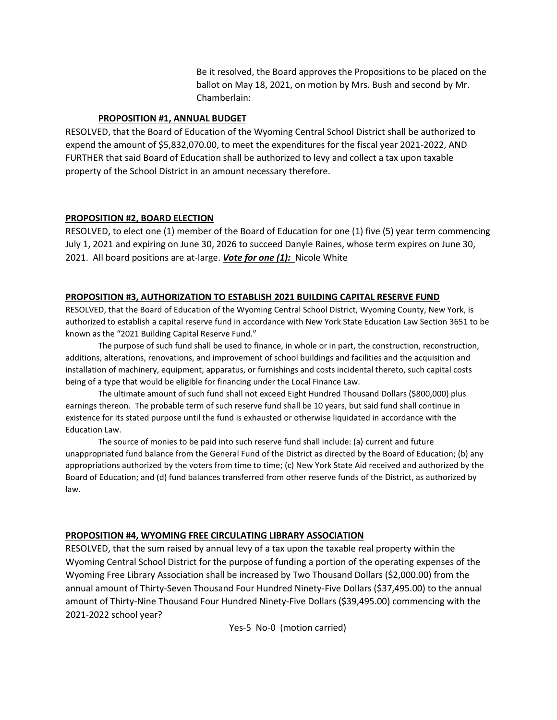Be it resolved, the Board approves the Propositions to be placed on the ballot on May 18, 2021, on motion by Mrs. Bush and second by Mr. Chamberlain:

### **PROPOSITION #1, ANNUAL BUDGET**

RESOLVED, that the Board of Education of the Wyoming Central School District shall be authorized to expend the amount of \$5,832,070.00, to meet the expenditures for the fiscal year 2021-2022, AND FURTHER that said Board of Education shall be authorized to levy and collect a tax upon taxable property of the School District in an amount necessary therefore.

### **PROPOSITION #2, BOARD ELECTION**

RESOLVED, to elect one (1) member of the Board of Education for one (1) five (5) year term commencing July 1, 2021 and expiring on June 30, 2026 to succeed Danyle Raines, whose term expires on June 30, 2021. All board positions are at-large. *Vote for one (1):* Nicole White

# **PROPOSITION #3, AUTHORIZATION TO ESTABLISH 2021 BUILDING CAPITAL RESERVE FUND**

RESOLVED, that the Board of Education of the Wyoming Central School District, Wyoming County, New York, is authorized to establish a capital reserve fund in accordance with New York State Education Law Section 3651 to be known as the "2021 Building Capital Reserve Fund."

The purpose of such fund shall be used to finance, in whole or in part, the construction, reconstruction, additions, alterations, renovations, and improvement of school buildings and facilities and the acquisition and installation of machinery, equipment, apparatus, or furnishings and costs incidental thereto, such capital costs being of a type that would be eligible for financing under the Local Finance Law.

The ultimate amount of such fund shall not exceed Eight Hundred Thousand Dollars (\$800,000) plus earnings thereon. The probable term of such reserve fund shall be 10 years, but said fund shall continue in existence for its stated purpose until the fund is exhausted or otherwise liquidated in accordance with the Education Law.

The source of monies to be paid into such reserve fund shall include: (a) current and future unappropriated fund balance from the General Fund of the District as directed by the Board of Education; (b) any appropriations authorized by the voters from time to time; (c) New York State Aid received and authorized by the Board of Education; and (d) fund balances transferred from other reserve funds of the District, as authorized by law.

# **PROPOSITION #4, WYOMING FREE CIRCULATING LIBRARY ASSOCIATION**

RESOLVED, that the sum raised by annual levy of a tax upon the taxable real property within the Wyoming Central School District for the purpose of funding a portion of the operating expenses of the Wyoming Free Library Association shall be increased by Two Thousand Dollars (\$2,000.00) from the annual amount of Thirty-Seven Thousand Four Hundred Ninety-Five Dollars (\$37,495.00) to the annual amount of Thirty-Nine Thousand Four Hundred Ninety-Five Dollars (\$39,495.00) commencing with the 2021-2022 school year?

Yes-5 No-0 (motion carried)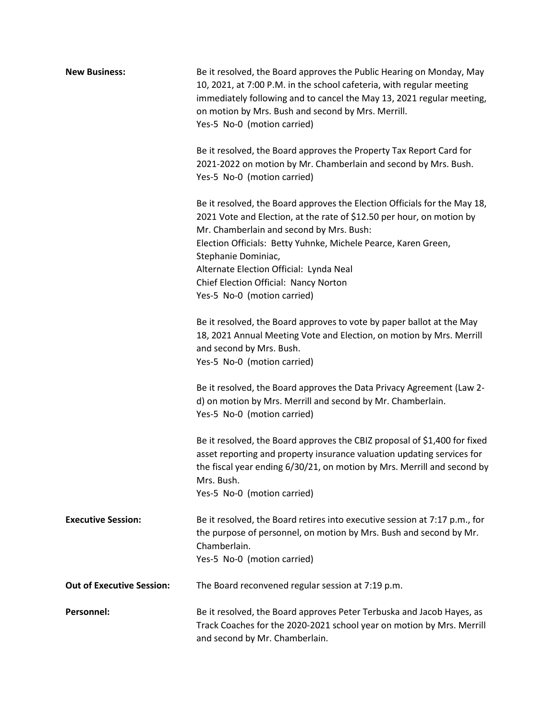| <b>New Business:</b>             | Be it resolved, the Board approves the Public Hearing on Monday, May<br>10, 2021, at 7:00 P.M. in the school cafeteria, with regular meeting<br>immediately following and to cancel the May 13, 2021 regular meeting,<br>on motion by Mrs. Bush and second by Mrs. Merrill.<br>Yes-5 No-0 (motion carried)                                                                                                 |
|----------------------------------|------------------------------------------------------------------------------------------------------------------------------------------------------------------------------------------------------------------------------------------------------------------------------------------------------------------------------------------------------------------------------------------------------------|
|                                  | Be it resolved, the Board approves the Property Tax Report Card for<br>2021-2022 on motion by Mr. Chamberlain and second by Mrs. Bush.<br>Yes-5 No-0 (motion carried)                                                                                                                                                                                                                                      |
|                                  | Be it resolved, the Board approves the Election Officials for the May 18,<br>2021 Vote and Election, at the rate of \$12.50 per hour, on motion by<br>Mr. Chamberlain and second by Mrs. Bush:<br>Election Officials: Betty Yuhnke, Michele Pearce, Karen Green,<br>Stephanie Dominiac,<br>Alternate Election Official: Lynda Neal<br>Chief Election Official: Nancy Norton<br>Yes-5 No-0 (motion carried) |
|                                  | Be it resolved, the Board approves to vote by paper ballot at the May<br>18, 2021 Annual Meeting Vote and Election, on motion by Mrs. Merrill<br>and second by Mrs. Bush.<br>Yes-5 No-0 (motion carried)                                                                                                                                                                                                   |
|                                  | Be it resolved, the Board approves the Data Privacy Agreement (Law 2-<br>d) on motion by Mrs. Merrill and second by Mr. Chamberlain.<br>Yes-5 No-0 (motion carried)                                                                                                                                                                                                                                        |
|                                  | Be it resolved, the Board approves the CBIZ proposal of \$1,400 for fixed<br>asset reporting and property insurance valuation updating services for<br>the fiscal year ending 6/30/21, on motion by Mrs. Merrill and second by<br>Mrs. Bush.<br>Yes-5 No-0 (motion carried)                                                                                                                                |
| <b>Executive Session:</b>        | Be it resolved, the Board retires into executive session at 7:17 p.m., for<br>the purpose of personnel, on motion by Mrs. Bush and second by Mr.<br>Chamberlain.<br>Yes-5 No-0 (motion carried)                                                                                                                                                                                                            |
| <b>Out of Executive Session:</b> | The Board reconvened regular session at 7:19 p.m.                                                                                                                                                                                                                                                                                                                                                          |
| <b>Personnel:</b>                | Be it resolved, the Board approves Peter Terbuska and Jacob Hayes, as<br>Track Coaches for the 2020-2021 school year on motion by Mrs. Merrill<br>and second by Mr. Chamberlain.                                                                                                                                                                                                                           |